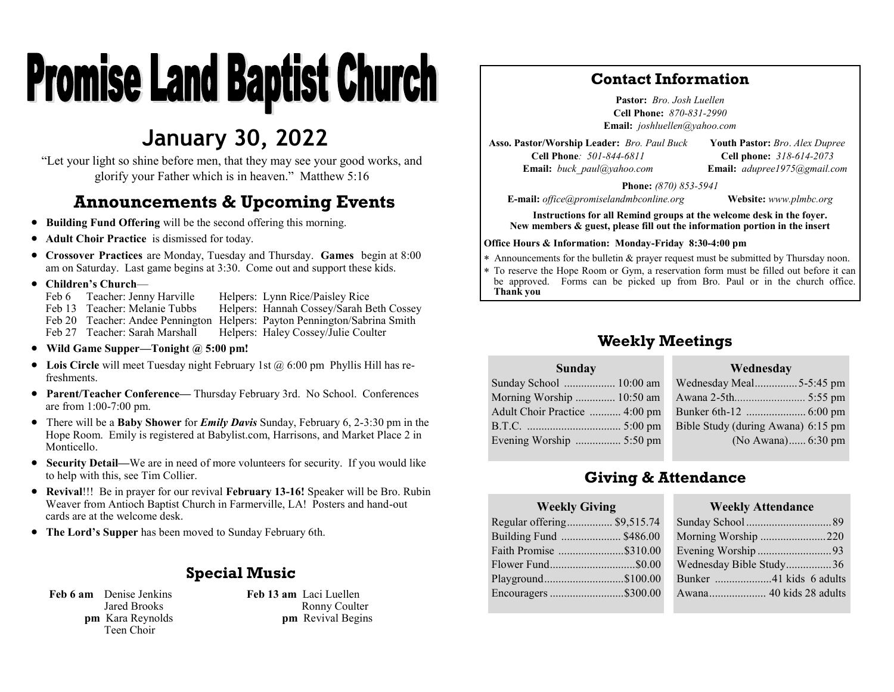# **Promise Land Baptist Church**

# **January 30, 2022**

"Let your light so shine before men, that they may see your good works, and glorify your Father which is in heaven." Matthew 5:16

# **Announcements & Upcoming Events**

- **Building Fund Offering** will be the second offering this morning.
- **Adult Choir Practice** is dismissed for today.
- **Crossover Practices** are Monday, Tuesday and Thursday. **Games** begin at 8:00 am on Saturday. Last game begins at 3:30. Come out and support these kids.
- **Children's Church**—

Feb 6 Teacher: Jenny Harville Helpers: Lynn Rice/Paisley Rice<br>Feb 13 Teacher: Melanie Tubbs Helpers: Hannah Cossev/Sarah B Helpers: Hannah Cossey/Sarah Beth Cossey Feb 20 Teacher: Andee Pennington Helpers: Payton Pennington/Sabrina Smith<br>Feb 27 Teacher: Sarah Marshall Helpers: Haley Cossey/Julie Coulter Helpers: Haley Cossey/Julie Coulter

- **Wild Game Supper—Tonight @ 5:00 pm!**
- Lois Circle will meet Tuesday night February 1st @ 6:00 pm Phyllis Hill has refreshments.
- **Parent/Teacher Conference—** Thursday February 3rd. No School. Conferences are from 1:00-7:00 pm.
- There will be a **Baby Shower** for *Emily Davis* Sunday, February 6, 2-3:30 pm in the Hope Room. Emily is registered at Babylist.com, Harrisons, and Market Place 2 in Monticello.
- **Security Detail—**We are in need of more volunteers for security. If you would like to help with this, see Tim Collier.
- **Revival**!!! Be in prayer for our revival **February 13-16!** Speaker will be Bro. Rubin Weaver from Antioch Baptist Church in Farmerville, LA! Posters and hand-out cards are at the welcome desk.
- **The Lord's Supper** has been moved to Sunday February 6th.

## **Special Music**

**Feb 6 am** Denise Jenkins Jared Brooks **pm** Kara Reynolds Teen Choir

**Feb 13 am** Laci Luellen Ronny Coulter **pm** Revival Begins

## **Contact Information**

**Pastor:** *Bro. Josh Luellen* **Cell Phone:** *870-831-2990* **Email:** *joshluellen@yahoo.com* 

**Asso. Pastor/Worship Leader:** *Bro. Paul Buck* **Cell Phone***: 501-844-6811* **Email:** *buck\_paul@yahoo.com*

**Youth Pastor:** *Bro*. *Alex Dupree* **Cell phone:** *318-614-2073* **Email:** *adupree1975@gmail.com*

**Phone:** *(870) 853-5941*

**E-mail:** *office@promiselandmbconline.org* **Website:** *www.plmbc.org*

**Instructions for all Remind groups at the welcome desk in the foyer. New members & guest, please fill out the information portion in the insert**

#### **Office Hours & Information: Monday-Friday 8:30-4:00 pm**

Announcements for the bulletin & prayer request must be submitted by Thursday noon.

 To reserve the Hope Room or Gym, a reservation form must be filled out before it can be approved. Forms can be picked up from Bro. Paul or in the church office. **Thank you**

## **Weekly Meetings**

#### **Sunday**

| Sunday School  10:00 am       |                                    |
|-------------------------------|------------------------------------|
| Morning Worship  10:50 am     |                                    |
| Adult Choir Practice  4:00 pm |                                    |
|                               | Bible Study (during Awana) 6:15 pm |
| Evening Worship  5:50 pm      | (No Awana) 6:30 pm                 |
|                               |                                    |

# **Giving & Attendance**

#### **Weekly Giving**

Regular offering................ \$9,515.74 Building Fund ..................... \$486.00 Faith Promise .......................\$310.00 Flower Fund..............................\$0.00 Playground............................\$100.00 Encouragers ..........................\$300.00

#### **Weekly Attendance**

**Wednesday**

| Morning Worship 220     |  |
|-------------------------|--|
| Evening Worship93       |  |
| Wednesday Bible Study36 |  |
| Bunker 41 kids 6 adults |  |
| Awana 40 kids 28 adults |  |
|                         |  |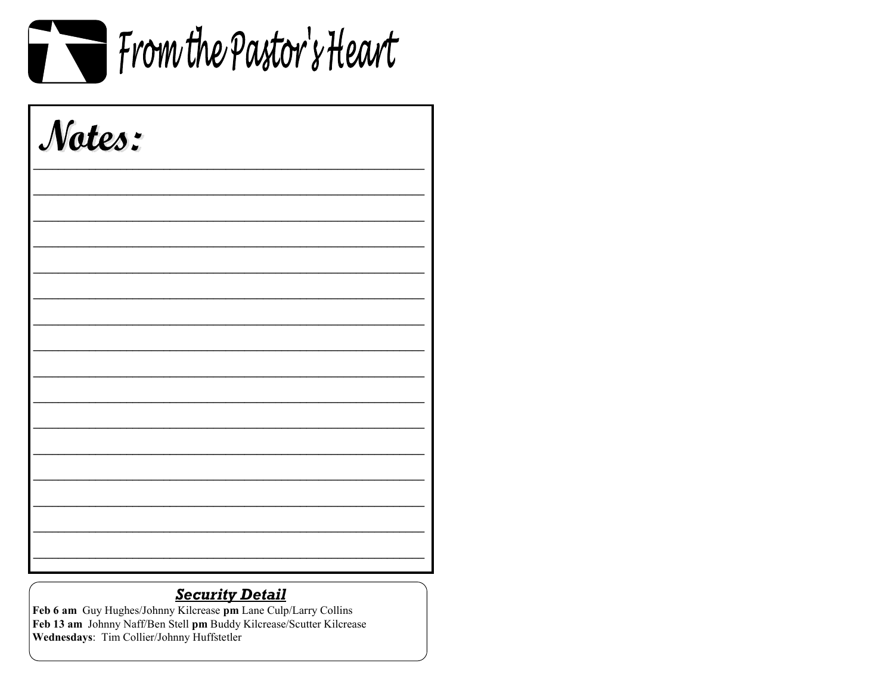

| Notes: |  |  |
|--------|--|--|
|        |  |  |
|        |  |  |
|        |  |  |
|        |  |  |
|        |  |  |
|        |  |  |
|        |  |  |
|        |  |  |
|        |  |  |

# **Security Detail**

Feb 6 am Guy Hughes/Johnny Kilcrease pm Lane Culp/Larry Collins Feb 13 am Johnny Naff/Ben Stell pm Buddy Kilcrease/Scutter Kilcrease Wednesdays: Tim Collier/Johnny Huffstetler